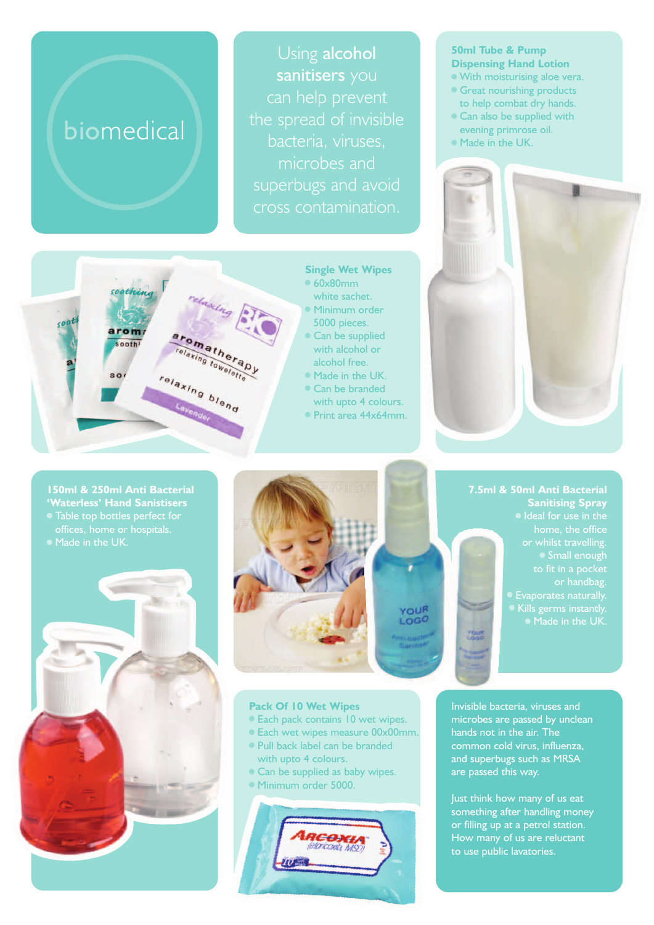# biomedical

Using alcohol sanitisers you microbes and superbugs and avoid cross contamination.

# soothin relaxing arom: omatherapy sooth matheral intra relaxing blend

**Single Wet Wipes** <sup>n</sup> 60x80mm white sachet. **• Minimum order** 

- 5000 pieces. • Can be supplied
- with alcohol or alcohol free.
- Made in the UK.
- Can be branded
- with upto 4 colours.
- Print area 44x64mm.

#### **50ml Tube & Pump Dispensing Hand Lotion**

- <sup>n</sup> With moisturising aloe vera.
- **Great nourishing products** to help combat dry hands.
- Can also be supplied with evening primrose oil.
- Made in the UK.



**7.5ml & 50ml Anti Bacterial**

**Sanitising Spray** 

or whilst travelling. Small enough

• Kills germs instantly.

or handbag.

# **150ml & 250ml Anti Bacterial 'Waterless' Hand Sanistisers**





### **Pack Of 10 Wet Wipes**

- <sup>n</sup> Each pack contains 10 wet wipes.
- Each wet wipes measure 00x00mm.
- <sup>n</sup> Pull back label can be branded with upto 4 colours.
- Can be supplied as baby wipes.
- Minimum order 5000.



Invisible bacteria, viruses and microbes are passed by unclean hands not in the air. The common cold virus, influenza, and superbugs such as MRSA are passed this way.

Just think how many of us eat something after handling money or filling up at a petrol station. How many of us are reluctant to use public lavatories.